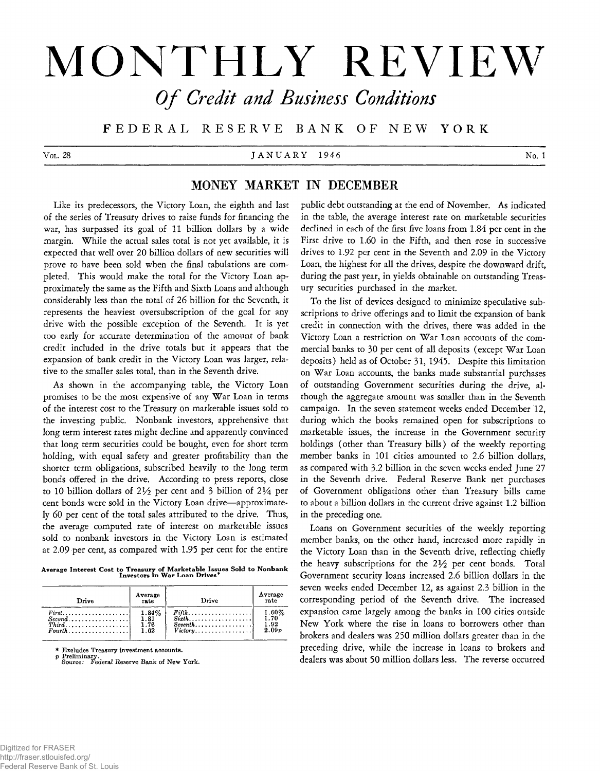# **MONTHLY REVIEW** *O f Credit and Business Conditions*

**F E D E R A L RESERVE BANK OF NEW Y ORK**

V ol. 28  $J AN U AKY$  1946  $N$ o. 1

# **MONEY MARKET IN DECEMBER**

Like its predecessors, the Victory Loan, the eighth and last of the series of Treasury drives to raise funds for financing the war, has surpassed its goal of 11 billion dollars by a wide margin. While the actual sales total is not yet available, it is expected that well over 20 billion dollars of new securities will prove to have been sold when the final tabulations are completed. This would make the total for the Victory Loan approximately the same as the Fifth and Sixth Loans and although considerably less than the total of 26 billion for the Seventh, it represents the heaviest oversubscription of the goal for any drive with the possible exception of the Seventh. It is yet too early for accurate determination of the amount of bank credit included in the drive totals but it appears that the expansion of bank credit in the Victory Loan was larger, relative to the smaller sales total, than in the Seventh drive.

As shown in the accompanying table, the Victory Loan promises to be the most expensive of any War Loan in terms of the interest cost to the Treasury on marketable issues sold to the investing public. Nonbank investors, apprehensive that long term interest rates might decline and apparently convinced that long term securities could be bought, even for short term holding, with equal safety and greater profitability than the shorter term obligations, subscribed heavily to the long term bonds offered in the drive. According to press reports, close to 10 billion dollars of 21/2 per cent and 3 billion of 21/4 per cent bonds were sold in the Victory Loan drive— approximately 60 per cent of the total sales attributed to the drive. Thus, the average computed rate of interest on marketable issues sold to nonbank investors in the Victory Loan is estimated at 2.09 per cent, as compared with 1.95 per cent for the entire

**Average Interest Cost to Treasury of Marketable Issues Sold to Nonbank Investors in War Loan Drives\***

| Drive                                       | Average<br>rate | Drive                                            | Average<br>rate   |
|---------------------------------------------|-----------------|--------------------------------------------------|-------------------|
| $First \dots \dots \dots \dots \dots \dots$ | $1.84\%$        | $Fith \ldots \ldots \ldots \ldots \ldots \ldots$ | $1.60\%$          |
| $Second, \ldots, \ldots, \ldots, \ldots$    | 1.81            |                                                  | 1.70              |
| $Third \dots \dots \dots \dots \dots \dots$ | 1.76            |                                                  | 1.92              |
| $Fourth \dots \dots \dots \dots \dots$      | 1.62            | $Victor v \dots \dots \dots \dots \dots \dots$   | 2.09 <sub>p</sub> |

\* Excludes Treasury investment accounts,

p Preliminary. Source: Federal Reserve Bank of New York.

public debt outstanding at the end of November. As indicated in the table, the average interest rate on marketable securities declined in each of the first five loans from 1.84 per cent in the First drive to 1.60 in the Fifth, and then rose in successive drives to 1.92 per cent in the Seventh and 2.09 in the Victory Loan, the highest for all the drives, despite the downward drift, during the past year, in yields obtainable on outstanding Treasury securities purchased in the market.

To the list of devices designed to minimize speculative subscriptions to drive offerings and to limit the expansion of bank credit in connection with the drives, there was added in the Victory Loan a restriction on War Loan accounts of the commercial banks to 30 per cent of all deposits (except War Loan deposits) held as of October 31, 1945. Despite this limitation on War Loan accounts, the banks made substantial purchases of outstanding Government securities during the drive, although the aggregate amount was smaller than in the Seventh campaign. In the seven statement weeks ended December 12, during which the books remained open for subscriptions to marketable issues, the increase in the Government security holdings (other than Treasury bills) of the weekly reporting member banks in 101 cities amounted to 2.6 billion dollars, as compared with 3.2 billion in the seven weeks ended June 27 in the Seventh drive. Federal Reserve Bank net purchases of Government obligations other than Treasury bills came to about a billion dollars in the current drive against 1.2 billion in the preceding one.

Loans on Government securities of the weekly reporting member banks, on the other hand, increased more rapidly in the Victory Loan than in the Seventh drive, reflecting chiefly the heavy subscriptions for the  $2\frac{1}{2}$  per cent bonds. Total Government security loans increased 2.6 billion dollars in the seven weeks ended December 12, as against 2.3 billion in the corresponding period of the Seventh drive. The increased expansion came largely among the banks in 100 cities outside New York where the rise in loans to borrowers other than brokers and dealers was 250 million dollars greater than in the preceding drive, while the increase in loans to brokers and dealers was about 50 million dollars less. The reverse occurred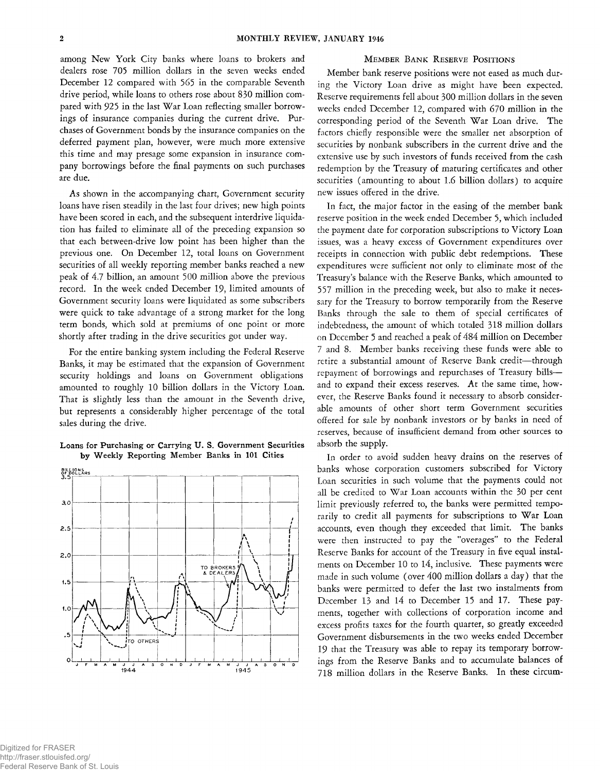among New York City banks where loans to brokers and dealers rose 705 million dollars in the seven weeks ended December 12 compared with 565 in the comparable Seventh drive period, while loans to others rose about 830 million compared with 925 in the last War Loan reflecting smaller borrowings of insurance companies during the current drive. Purchases of Government bonds by the insurance companies on the deferred payment plan, however, were much more extensive this time and may presage some expansion in insurance company borrowings before the final payments on such purchases are due.

As shown in the accompanying chart, Government security loans have risen steadily in the last four drives; new high points have been scored in each, and the subsequent interdrive liquidation has failed to eliminate all of the preceding expansion so that each between-drive low point has been higher than the previous one. On December 12, total loans on Government securities of all weekly reporting member banks reached a new peak of 4.7 billion, an amount 500 million above the previous record. In the week ended December 19, limited amounts of Government security loans were liquidated as some subscribers were quick to take advantage of a strong market for the long term bonds, which sold at premiums of one point or more shortly after trading in the drive securities got under way.

For the entire banking system including the Federal Reserve Banks, it may be estimated that the expansion of Government security holdings and loans on Government obligations amounted to roughly 10 billion dollars in the Victory Loan. That is slightly less than the amount in the Seventh drive, but represents a considerably higher percentage of the total sales during the drive.

# **Loans for Purchasing or Carrying U. S. Government Securities by Weekly Reporting Member Banks in 101 Cities**



## **MEMBER BANK RESERVE POSITIONS**

Member bank reserve positions were not eased as much during the Victory Loan drive as might have been expected. Reserve requirements fell about 300 million dollars in the seven weeks ended December 12, compared with 670 million in the corresponding period of the Seventh War Loan drive. The factors chiefly responsible were the smaller net absorption of securities by nonbank subscribers in the current drive and the extensive use by such investors of funds received from the cash redemption by the Treasury of maturing certificates and other securities (amounting to about 1.6 billion dollars) to acquire new issues offered in the drive.

In fact, the major factor in the easing of the member bank reserve position in the week ended December 5, which included the payment date for corporation subscriptions to Victory Loan issues, was a heavy excess of Government expenditures over receipts in connection with public debt redemptions. These expenditures were sufficient not only to eliminate most of the Treasury's balance with the Reserve Banks, which amounted to 557 million in the preceding week, but also to make it necessary for the Treasury to borrow temporarily from the Reserve Banks through the sale to them of special certificates of indebtedness, the amount of which totaled 318 million dollars on December 5 and reached a peak of 484 million on December 7 and 8. Member banks receiving these funds were able to retire a substantial amount of Reserve Bank credit— through repayment of borrowings and repurchases of Treasury bills and to expand their excess reserves. At the same time, however, the Reserve Banks found it necessary to absorb considerable amounts of other short term Government securities offered for sale by nonbank investors or by banks in need of reserves, because of insufficient demand from other sources to absorb the supply.

In order to avoid sudden heavy drains on the reserves of banks whose corporation customers subscribed for Victory Loan securities in such volume that the payments could not all be credited to War Loan accounts within the 30 per cent limit previously referred to, the banks were permitted temporarily to credit all payments for subscriptions to War Loan accounts, even though they exceeded that limit. The banks were then instructed to pay the "overages" to the Federal Reserve Banks for account of the Treasury in five equal instalments on December 10 to 14, inclusive. These payments were made in such volume (over 400 million dollars a day) that the banks were permitted to defer the last two instalments from December 13 and 14 to December 15 and 17. These payments, together with collections of corporation income and excess profits taxes for the fourth quarter, so greatly exceeded Government disbursements in the two weeks ended December 19 that the Treasury was able to repay its temporary borrowings from the Reserve Banks and to accumulate balances of 718 million dollars in the Reserve Banks. In these circum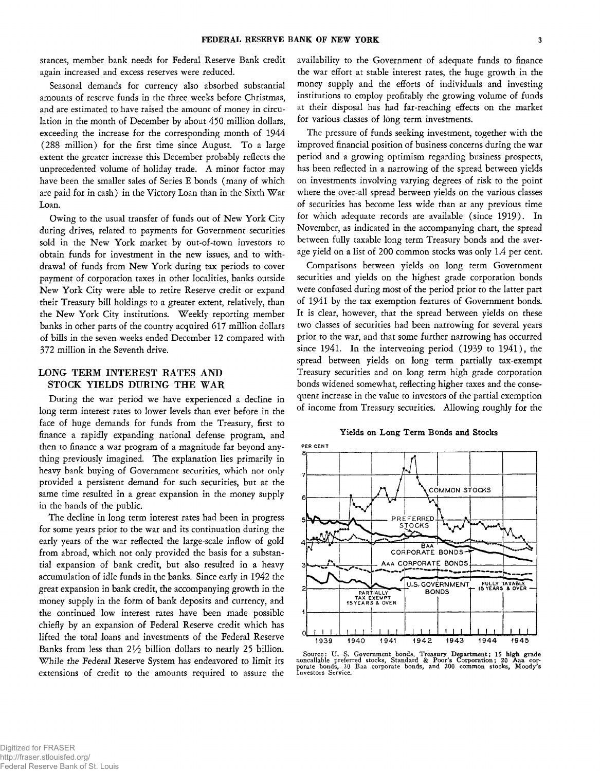stances, member bank needs for Federal Reserve Bank credit again increased and excess reserves were reduced.

Seasonal demands for currency also absorbed substantial amounts of reserve funds in the three weeks before Christmas, and are estimated to have raised the amount of money in circulation in the month of December by about 450 million dollars, exceeding the increase for the corresponding month of 1944 (288 million) for the first time since August. To a large extent the greater increase this December probably reflects the unprecedented volume of holiday trade. A minor factor may have been the smaller sales of Series E bonds (many of which are paid for in cash) in the Victory Loan than in the Sixth War Loan.

Owing to the usual transfer of funds out of New York City during drives, related to payments for Government securities sold in the New York market by out-of-town investors to obtain funds for investment in the new issues, and to withdrawal of funds from New York during tax periods to cover payment of corporation taxes in other localities, banks outside New York City were able to retire Reserve credit or expand their Treasury bill holdings to a greater extent, relatively, than the New York City institutions. Weekly reporting member banks in other parts of the country acquired 617 million dollars of bills in the seven weeks ended December 12 compared with 372 million in the Seventh drive.

# LONG TERM INTEREST RATES AND STOCK YIELDS DURING THE WAR

During the war period we have experienced a decline in long term interest rates to lower levels than ever before in the face of huge demands for funds from the Treasury, first to finance a rapidly expanding national defense program, and then to finance a war program of a magnitude far beyond anything previously imagined. The explanation lies primarily in heavy bank buying of Government securities, which not only provided a persistent demand for such securities, but at the same time resulted in a great expansion in the money supply in the hands of the public.

The decline in long term interest rates had been in progress for some years prior to the war and its continuation during the early years of the war reflected the large-scale inflow of gold from abroad, which not only provided the basis for a substantial expansion of bank credit, but also resulted in a heavy accumulation of idle funds in the banks. Since early in 1942 the great expansion in bank credit, the accompanying growth in the money supply in the form of bank deposits and currency, and the continued low interest rates have been made possible chiefly by an expansion of Federal Reserve credit which has lifted the total loans and investments of the Federal Reserve Banks from less than 21/2 billion dollars to nearly 25 billion. While the *Federal Reserve* System has endeavored to limit its extensions of credit to the amounts required to assure the

availability to the Government of adequate funds to finance the war effort at stable interest rates, the huge growth in the money supply and the efforts of individuals and investing institutions to employ profitably the growing volume of funds at their disposal has had far-reaching effects on the market for various classes of long term investments.

The pressure of funds seeking investment, together with the improved financial position of business concerns during the war period and a growing optimism regarding business prospects, has been reflected in a narrowing of the spread between yields on investments involving varying degrees of risk to the point where the over-all spread between yields on the various classes of securities has become less wide than at any previous time for which adequate records are available (since 1919). In November, as indicated in the accompanying chart, the spread between fully taxable long term Treasury bonds and the average yield on a list of 200 common stocks was only 1.4 per cent.

Comparisons between yields on long term Government securities and yields on the highest grade corporation bonds were confused during most of the period prior to the latter part of 1941 by the tax exemption features of Government bonds. It is clear, however, that the spread between yields on these two classes of securities had been narrowing for several years prior to the war, and that some further narrowing has occurred since 1941. In the intervening period (1939 to 1941), the spread between yields on long term partially tax-exempt Treasury securities and on long term high grade corporation bonds widened somewhat, reflecting higher taxes and the consequent increase in the value to investors of the partial exemption of income from Treasury securities. Allowing roughly for the

## **Yields on Long Term Bonds and Stocks**



Source: U. S. Government bonds, Treasury Department; 15 high grade noncallable preferred stocks, Standard & Poor's Corporation; 20 Aaa corporate bonds, 30 Baa corporate bonds, and 200 common stocks, Moody's Investors Servi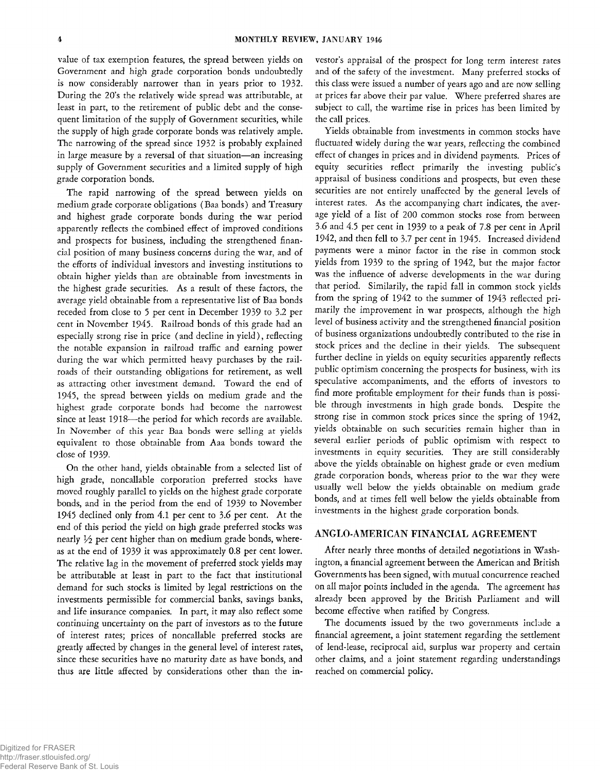value of tax exemption features, the spread between yields on Government and high grade corporation bonds undoubtedly is now considerably narrower than in years prior to 1932. During the 20's the relatively wide spread was attributable, at least in part, to the retirement of public debt and the consequent limitation of the supply of Government securities, while the supply of high grade corporate bonds was relatively ample. The narrowing of the spread since 1932 is probably explained in large measure by a reversal of that situation— an increasing supply of Government securities and a limited supply of high grade corporation bonds.

The rapid narrowing of the spread between yields on medium grade corporate obligations (Baa bonds) and Treasury and highest grade corporate bonds during the war period apparently reflects the combined effect of improved conditions and prospects for business, including the strengthened financial position of many business concerns during the war, and of the efforts of individual investors and investing institutions to obtain higher yields than are obtainable from investments in the highest grade securities. As a result of these factors, the average yield obtainable from a representative list of Baa bonds receded from close to 5 per cent in December 1939 to 3.2 per cent in November 1945. Railroad bonds of this grade had an especially strong rise in price ( and decline in yield), reflecting the notable expansion in railroad traffic and earning power during the war which permitted heavy purchases by the railroads of their outstanding obligations for retirement, as well as attracting other investment demand. Toward the end of 1945, the spread between yields on medium grade and the highest grade corporate bonds had become the narrowest since at least 1918—the period for which records are available. In November of this year Baa bonds were selling at yields equivalent to those obtainable from Aaa bonds toward the close of 1939-

On the other hand, yields obtainable from a selected list of high grade, noncallable corporation preferred stocks have moved roughly parallel to yields on the highest grade corporate bonds, and in the period from the end of 1939 to November 1945 declined only from 4.1 per cent to 3.6 per cent. At the end of this period the yield on high grade preferred stocks was nearly *V2* per cent higher than on medium grade bonds, whereas at the end of 1939 it was approximately 0.8 per cent lower. The relative lag in the movement of preferred stock yields may be attributable at least in part to the fact that institutional demand for such stocks is limited by legal restrictions on the investments permissible for commercial banks, savings banks, and life insurance companies. In part, it may also reflect some *continuing* uncertainty on the part of investors as to the future of interest rates; prices of noncallable preferred stocks are greatly affected by changes in the general level of interest rates, since these securities have no maturity date as have bonds, and thus are little affected by considerations other than the in-

vestor's appraisal of the prospect for long term interest rates and of the safety of the investment. Many preferred stocks of this class were issued a number of years ago and are now selling at prices far above their par value. Where preferred shares are subject to call, the wartime rise in prices has been limited by the call prices.

Yields obtainable from investments in common stocks have fluctuated widely during the war years, reflecting the combined effect of changes in prices and in dividend payments. Prices of equity securities reflect primarily the investing public's appraisal of business conditions and prospects, but even these securities are not entirely unaffected by the general levels of interest rates. As the accompanying chart indicates, the average yield of a list of 200 common stocks rose from between 3.6 and 4.5 per cent in 1939 to a peak of 7.8 per cent in April 1942, and then fell to 3.7 per cent in 1945. Increased dividend payments were a minor factor in the rise in common stock yields from 1939 to the spring of 1942, but the major factor was the influence of adverse developments in the war during that period. Similarily, the rapid fall in common stock yields from the spring of 1942 to the summer of 1943 reflected primarily the improvement in war prospects, although the high level of business activity and the strengthened financial position of business organizations undoubtedly contributed to the rise in stock prices and the decline in their yields. The subsequent further decline in yields on equity securities apparently reflects public optimism concerning the prospects for business, with its speculative accompaniments, and the efforts of investors to find more profitable employment for their funds than is possible through investments in high grade bonds. Despite the strong rise in common stock prices since the spring of 1942, yields obtainable on such securities remain higher than in several earlier periods of public optimism with respect to investments in equity securities. They are still considerably above the yields obtainable on highest grade or even medium grade corporation bonds, whereas prior to the war they were usually well below the yields obtainable on medium grade bonds, and at times fell well below the yields obtainable from investments in the highest grade corporation bonds.

## ANGLO-AMERICAN FINANCIAL AGREEMENT

After nearly three months of detailed negotiations in Washington, a financial agreement between the American and British Governments has been signed, with mutual concurrence reached on all major points included in the agenda. The agreement has already been approved by the British Parliament and will become effective when ratified by Congress.

The documents issued by the two governments include a financial agreement, a joint statement regarding the settlement of lend-lease, reciprocal aid, surplus war property and certain other claims, and a joint statement regarding understandings reached on commercial policy.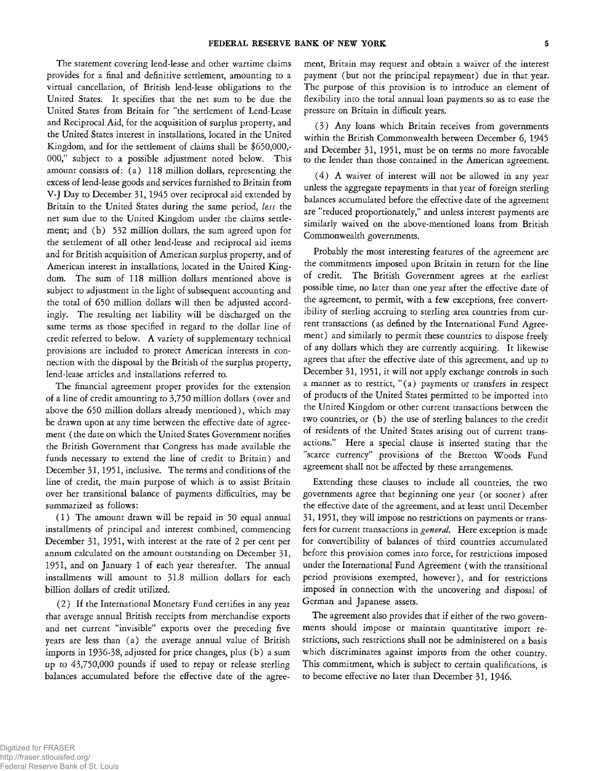The statement covering lend-lease and other wartime claims provides for a final and definitive settlement, amounting to a virtual cancellation, of British lend-lease obligations to the United States. It specifies that the net sum to be due the United States from Britain for "the settlement of Lend-Lease and Reciprocal Aid, for the acquisition of surplus property, and the United States interest in installations, located in the United Kingdom, and for the settlement of claims shall be \$650,000,- 000," subject to a possible adjustment noted below. This amount consists of: (a) 118 million dollars, representing the excess of lend-lease goods and services furnished to Britain from V-J Day to December 31,1945 over reciprocal aid extended by Britain to the United States during the same period, *less* the net sum due to the United Kingdom under the claims settlement; and (b) 532 million dollars, the sum agreed upon for the settlement of all other lend-lease and reciprocal aid items and for British acquisition of American surplus property, and of American interest in installations, located in the United Kingdom. The sum of 118 million dollars mentioned above is subject to adjustment in the light of subsequent accounting and the total of 650 million dollars will then be adjusted accordingly. The resulting net liability will be discharged on the same terms as those specified in regard to the dollar line of credit referred to below. A variety of supplementary technical provisions are included to protect American interests in connection with the disposal by the British of the surplus property, lend-lease articles and installations referred to.

The financial agreement proper provides for the extension of a line of credit amounting to 3,750 million dollars (over and above the 650 million dollars already mentioned), which may be drawn upon at any time between the effective date of agreement ( the date on which the United States Government notifies the British Government that Congress has made available the funds necessary to extend the line of credit to Britain) and December 31,1951, inclusive. The terms and conditions of the line of credit, the main purpose of which is to assist Britain over her transitional balance of payments difficulties, may be summarized as follows:

(1 ) The amount drawn will be repaid in 50 equal annual installments of principal and interest combined, commencing December 31, 1951, with interest at the rate of 2 per cent per annum calculated on the amount outstanding on December 31, 1951, and on January 1 of each year thereafter. The annual installments will amount to 31.8 million dollars for each billion dollars of credit utilized.

*(2)* If the International Monetary Fund certifies in any year that average annual British receipts from merchandise exports and net current "invisible" exports over the preceding five years are less than (a) the average annual value of British imports in 1936-38, adjusted for price changes, plus (b) a sum up to 43,750,000 pounds if used to repay or release sterling balances accumulated before the effective date of the agreement, Britain may request and obtain a waiver of the interest payment (but not the principal repayment) due in that year. The purpose of this provision is to introduce an element of flexibility into the total annual loan payments so as to ease the pressure on Britain in difficult years.

(3 ) Any loans which Britain receives from governments within the British Commonwealth between December 6, 1945 and December 31, 1951, must be on terms no more favorable to the lender than those contained in the American agreement.

 $(4)$  A waiver of interest will not be allowed in any year unless the aggregate repayments in that year of foreign sterling balances accumulated before the effective date of the agreement are "reduced proportionately," and unless interest payments are similarly waived on the above-mentioned loans from British Commonwealth governments.

Probably the most interesting features of the agreement are the commitments imposed upon Britain in return for the line of credit. The British Government agrees at the earliest possible time, no later than one year after the effective date of the agreement, to permit, with a few exceptions, free convertibility of sterling accruing to sterling area countries from current transactions (as defined by the International Fund Agreement) and similarly to permit these countries to dispose freely of any dollars which they are currently acquiring. It likewise agrees that after the effective date of this agreement, and up to December 31, 1951, it will not apply exchange controls in such a manner as to restrict, " $(a)$  payments or transfers in respect of products of the United States permitted to be imported into the United Kingdom or other current transactions between the two countries, or (b) the use of sterling balances to the credit of residents of the United States arising out of current transactions." Here a special clause is inserted stating that the "scarce currency" provisions of the Bretton Woods Fund agreement shall not be affected by these arrangements.

Extending these clauses to include all countries, the two governments agree that beginning one year (or sooner) after the effective date of the agreement, and at least until December 31, 1951, they will impose no restrictions on payments or transfers for current transactions in *general.* Here exception is made for convertibility of balances of third countries accumulated before this provision comes into force, for restrictions imposed under the International Fund Agreement (with the transitional period provisions exempted, however), and for restrictions imposed in connection with the uncovering and disposal of German and Japanese assets.

The agreement also provides that if either of the two governments should impose or maintain quantitative import restrictions, such restrictions shall not be administered on a basis which discriminates against imports from the other country. This commitment, which is subject to certain qualifications, is to become effective no later than December 31, 1946.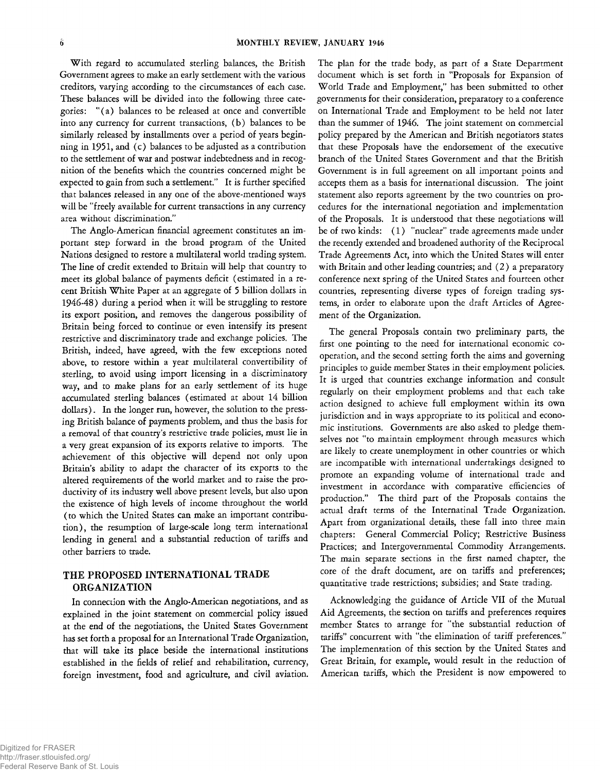With regard to accumulated sterling balances, the British Government agrees to make an early settlement with the various creditors, varying according to the circumstances of each case. These balances will be divided into the following three categories: "(a ) balances to be released at once and convertible into any currency for current transactions, (b) balances to be similarly released by installments over a period of years beginning in 1951, and (c) balances to be adjusted as a contribution to the settlement of war and postwar indebtedness and in recognition of the benefits which the countries concerned might be expected to gain from such a settlement." It is further specified that balances released in any one of the above-mentioned ways will be "freely available for current transactions in any currency area without discrimination."

The Anglo-American financial agreement constitutes an important step forward in the broad program of the United Nations designed to restore a multilateral world trading system. The line of credit extended to Britain will help that country to meet its global balance of payments deficit ( estimated in a recent British White Paper at an aggregate of 5 billion dollars in 1946-48) during a period when it will be struggling to restore its export position, and removes the dangerous possibility of Britain being forced to continue or even intensify its present restrictive and discriminatory trade and exchange policies. The British, indeed, have agreed, with the few exceptions noted above, to restore within a year multilateral convertibility of sterling, to avoid using import licensing in a discriminatory way, and to make plans for an early settlement of its huge accumulated sterling balances (estimated at about 14 billion dollars). In the longer run, however, the solution to the pressing British balance of payments problem, and thus the basis for a removal of that country's restrictive trade policies, must lie in a very great expansion of its exports relative to imports. The achievement of this objective will depend not only upon Britain's ability to adapt the character of its exports to the altered requirements of the world market and to raise the productivity of its industry well above present levels, but also upon the existence of high levels of income throughout the world (to which the United States can make an important contribution), the resumption of large-scale long term international lending in general and a substantial reduction of tariffs and other barriers to trade.

# **THE PROPOSED INTERNATIONAL TRADE ORGANIZATION**

In connection with the Anglo-American negotiations, and as explained in the joint statement on commercial policy issued at the end of the negotiations, the United States Government has set forth a proposal for an International Trade Organization, that will take its place beside the international institutions established in the fields of relief and rehabilitation, currency, foreign investment, food and agriculture, and civil aviation.

The plan for the trade body, as part of a State Department document which is set forth in "Proposals for Expansion of World Trade and Employment," has been submitted to other governments for their consideration, preparatory to a conference on International Trade and Employment to be held not later than the summer of 1946. The joint statement on commercial policy prepared by the American and British negotiators states that these Proposals have the endorsement of the executive branch of the United States Government and that the British Government is in full agreement on all important points and accepts them as a basis for international discussion. The joint statement also reports agreement by the two countries on procedures for the international negotiation and implementation of the Proposals. It is understood that these negotiations will be of two kinds: (1) "nuclear" trade agreements made under the recently extended and broadened authority of the Reciprocal Trade Agreements Act, into which the United States will enter with Britain and other leading countries; and (2) a preparatory conference next spring of the United States and fourteen other countries, representing diverse types of foreign trading systems, in order to elaborate upon the draft Articles of Agreement of the Organization.

The general Proposals contain two preliminary parts, the first one pointing to the need for international economic cooperation, and the second setting forth the aims and governing principles to guide member States in their employment policies. It is urged that countries exchange information and consult regularly on their employment problems and that each take action designed to achieve full employment within its own jurisdiction and in ways appropriate to its political and economic institutions. Governments are also asked to pledge themselves not "to maintain employment through measures which are likely to create unemployment in other countries or which are incompatible with international undertakings designed to promote an expanding volume of international trade and investment in accordance with comparative efficiencies of production." The third part of the Proposals contains the actual draft terms of the Internatinal Trade Organization. Apart from organizational details, these fall into three main chapters: General Commercial Policy; Restrictive Business Practices; and Intergovernmental Commodity Arrangements. The main separate sections in the first named chapter, the core of the draft document, are on tariffs and preferences; quantitative trade restrictions; subsidies; and State trading.

Acknowledging the guidance of Article VII of the Mutual Aid Agreements, the section on tariffs and preferences requires member States to arrange for "the substantial reduction of tariffs" concurrent with "the elimination of tariff preferences." The implementation of this section by the United States and Great Britain, for example, would result in the reduction of American tariffs, which the President is now empowered to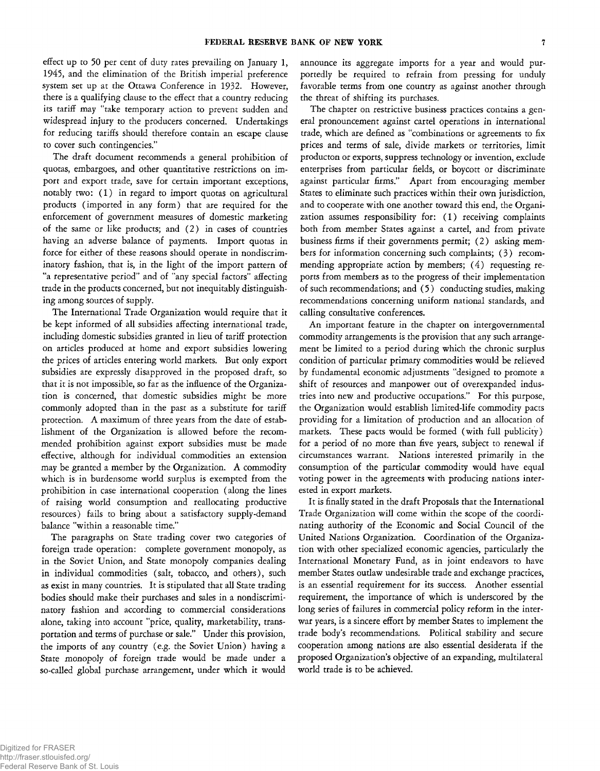effect up to 50 per cent of duty rates prevailing on January 1, 1945, and the elimination of the British imperial preference system set up at the Ottawa Conference in 1932. However, there is a qualifying clause to the effect that a country reducing its tariff may "take temporary action to prevent sudden and widespread injury to the producers concerned. Undertakings for reducing tariffs should therefore contain an escape clause to cover such contingencies."

The draft document recommends a general prohibition of quotas, embargoes, and other quantitative restrictions on import and export trade, save for certain important exceptions, notably two: (1) in regard to import quotas on agricultural products (imported in any form) that are required for the enforcement of government measures of domestic marketing of the same or like products; and (2) in cases of countries having an adverse balance of payments. Import quotas in force for either of these reasons should operate in nondiscriminatory fashion, that is, in the light of the import pattern of "a representative period" and of "any special factors" affecting trade in the products concerned, but not inequitably distinguishing among sources of supply.

The International Trade Organization would require that it be kept informed of all subsidies affecting international trade, including domestic subsidies granted in lieu of tariff protection on articles produced at home and export subsidies lowering the prices of articles entering world markets. But only export subsidies are expressly disapproved in the proposed draft, so that it is not impossible, so far as the influence of the Organization is concerned, that domestic subsidies might be more commonly adopted than in the past as a substitute for tariff protection. A maximum of three years from the date of establishment of the Organization is allowed before the recommended prohibition against export subsidies must be made effective, although for individual commodities an extension may be granted a member by the Organization. A commodity which is in burdensome world surplus is exempted from the prohibition in case international cooperation (along the lines of raising world consumption and reallocating productive resources) fails to bring about a satisfactory supply-demand balance "within a reasonable time."

The paragraphs on State trading cover two categories of foreign trade operation: complete government monopoly, as in the Soviet Union, and State monopoly companies dealing in individual commodities (salt, tobacco, and others), such as exist in many countries. It is stipulated that all State trading bodies should make their purchases and sales in a nondiscriminatory fashion and according to commercial considerations alone, taking into account "price, quality, marketability, transportation and terms of purchase or sale." Under this provision, the imports of any country (e.g. the Soviet Union) having a State *monopoly* of foreign trade would be made under a so-called global purchase arrangement, under which it would

announce its aggregate imports for a year and would purportedly be required to refrain from pressing for unduly favorable terms from one country as against another through the threat of shifting its purchases.

The chapter on restrictive business practices contains a general pronouncement against cartel operations in international trade, which are defined as "combinations or agreements to fix prices and terms of sale, divide markets or territories, limit producton or exports, suppress technology or invention, exclude enterprises from particular fields, or boycott or discriminate against particular firms." Apart from encouraging member States to eliminate such practices within their own jurisdiction, and to cooperate with one another toward this end, the Organization assumes responsibility for: (1) receiving complaints both from member States against a cartel, and from private business firms if their governments permit; (2) asking members for information concerning such complaints; (3) recommending appropriate action by members;  $(4)$  requesting reports from members as to the progress of their implementation of such recommendations; and (5 ) conducting studies, making recommendations concerning uniform national standards, and calling consultative conferences.

An important feature in the chapter on intergovernmental commodity arrangements is the provision that any such arrangement be limited to a period during which the chronic surplus condition of particular primary commodities would be relieved by fundamental economic adjustments "designed to promote a shift of resources and manpower out of overexpanded industries into new and productive occupations." For this purpose, the Organization would establish limited-life commodity pacts providing for a limitation of production and an allocation of markets. These pacts would be formed (with full publicity) for a period of no more than five years, subject to renewal if circumstances warrant. Nations interested primarily in the consumption of the particular commodity would have equal voting power in the agreements with producing nations interested in export markets.

It is finally stated in the draft Proposals that the International Trade Organization will come within the scope of the coordinating authority of the Economic and Social Council of the United Nations Organization. Coordination of the Organization with other specialized economic agencies, particularly the International Monetary Fund, as in joint endeavors to have member States outlaw undesirable trade and exchange practices, is an essential requirement for its success. Another essential requirement, the importance of which is underscored by the long series of failures in commercial policy reform in the interwar years, is a sincere effort by member States to implement the trade body's recommendations. Political stability and secure cooperation among nations are also essential desiderata if the proposed Organization's objective of an expanding, multilateral world trade is to be achieved.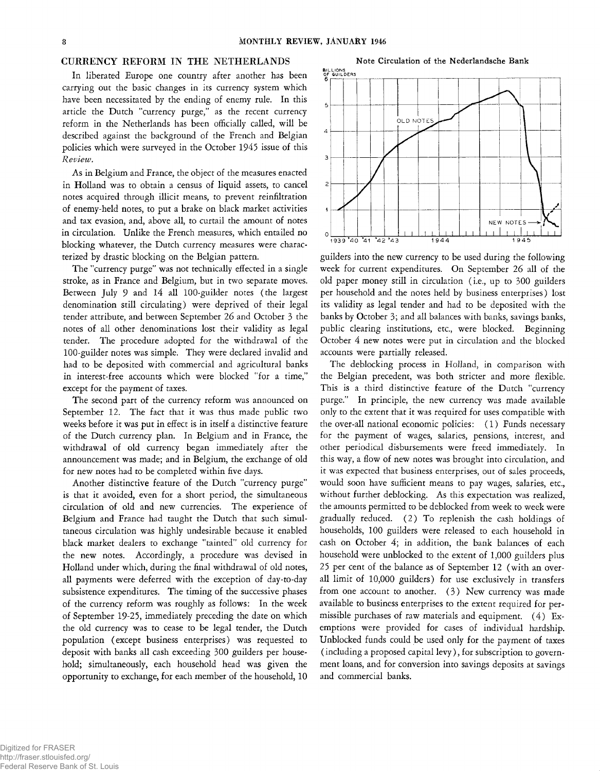### CURRENCY REFORM IN THE NETHERLANDS

In liberated Europe one country after another has been carrying out the basic changes in its currency system which have been necessitated by the ending of enemy rule. In this article the Dutch "currency purge," as the recent currency reform in the Netherlands has been officially called, will be described against the background of the French and Belgian policies which were surveyed in the October 1945 issue of this *Review.*

As in Belgium and France, the object of the measures enacted in Holland was to obtain a census of liquid assets, to cancel notes acquired through illicit means, to prevent reinfiltration of enemy-held notes, to put a brake on black market activities and tax evasion, and, above all, to curtail the amount of notes in circulation. Unlike the French measures, which entailed no blocking whatever, the Dutch currency measures were characterized by drastic blocking on the Belgian pattern.

The "currency purge" was not technically effected in a single stroke, as in France and Belgium, but in two separate moves. Between July 9 and 14 all 100-guilder notes (the largest denomination still circulating) were deprived of their legal tender attribute, and between September 26 and October 3 the notes of all other denominations lost their validity as legal tender. The procedure adopted for the withdrawal of the 100-guilder notes was simple. They were declared invalid and had to be deposited with commercial and agricultural banks in interest-free accounts which were blocked "for a time," except for the payment of taxes.

The second part of the currency reform was announced on September 12. The fact that it was thus made public two weeks before it was put in effect is in itself a distinctive feature of the Dutch currency plan. In Belgium and in France, the withdrawal of old currency began immediately after the announcement was made; and in Belgium, the exchange of old for new notes had to be completed within five days.

Another distinctive feature of the Dutch "currency purge" is that it avoided, even for a short period, the simultaneous circulation of old and new currencies. The experience of Belgium and France had taught the Dutch that such simultaneous circulation was highly undesirable because it enabled black market dealers to exchange "tainted" old currency for the new notes. Accordingly, a procedure was devised in Holland under which, during the final withdrawal of old notes, all payments were deferred with the exception of day-to-day subsistence expenditures. The timing of the successive phases of the currency reform was roughly as follows: In the week of September 19-25, immediately preceding the date on which the old currency was to cease to be legal tender, the Dutch population (except business enterprises) was requested to deposit with banks all cash exceeding 300 guilders per household; simultaneously, each household head was given the opportunity to exchange, for each member of the household, 10

 $\overline{5}$ .<br>OLD NOTES  $\overline{4}$  $\overline{3}$  $\overline{a}$ NEW NOTES  $\frac{1}{1939}$   $\frac{1}{40}$   $\frac{1}{42}$   $\frac{1}{43}$   $\frac{1}{4944}$  1945

guilders into the new currency to be used during the following week for current expenditures. On September 26 all of the old paper money still in circulation (i.e., up to 300 guilders per household and the notes held by business enterprises) lost its validity as legal tender and had to be deposited with the banks by October 3; and all balances with banks, savings banks, public clearing institutions, etc., were blocked. Beginning October 4 new notes were put in circulation and the blocked accounts were partially released.

The deblocking process in Holland, in comparison with the Belgian precedent, was both stricter and more flexible. This is a third distinctive feature of the Dutch "currency purge." In principle, the new currency was made available only to the extent that it was required for uses compatible with the over-all national economic policies: (1) Funds necessary for the payment of wages, salaries, pensions, interest, and other periodical disbursements were freed immediately. In this way, a flow of new notes was brought into circulation, and it was expected that business enterprises, out of sales proceeds, would soon have sufficient means to pay wages, salaries, etc., without further deblocking. As this expectation was realized, the amounts permitted to be deblocked from week to week were gradually reduced. (2) To replenish the cash holdings of households, 100 guilders were released to each household in cash on October 4; in addition, the bank balances of each household were unblocked to the extent of 1,000 guilders plus 25 per cent of the balance as of September 12 (with an overall limit of 10,000 guilders) for use exclusively in transfers from one account to another. (3) New currency was made available to business enterprises to the extent required for permissible purchases of raw materials and equipment. (4) Exemptions were provided for cases of individual hardship. Unblocked funds could be used only for the payment of taxes ( including a proposed capital levy), for subscription to government loans, and for conversion into savings deposits at savings and commercial banks.

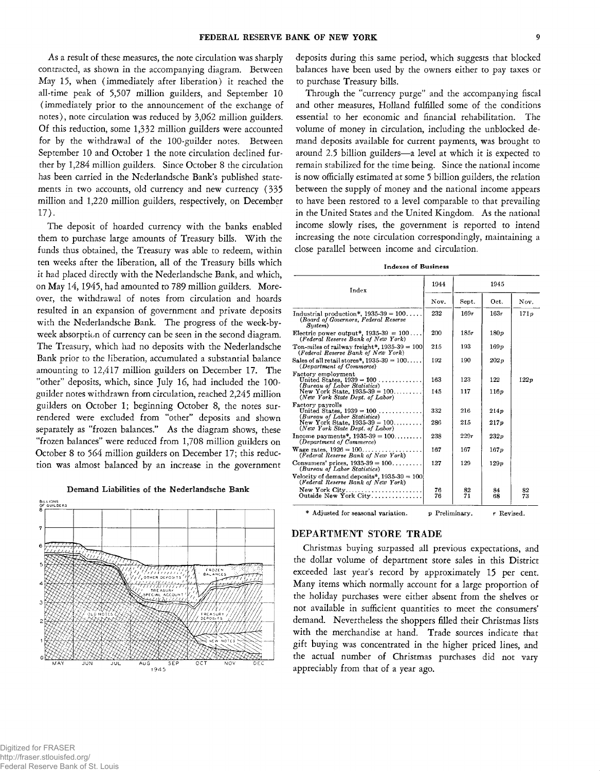As a result of these measures, the note circulation was sharply contracted, as shown in the accompanying diagram. Between May 15, when (immediately after liberation) it reached the all-time peak of 5,507 million guilders, and September 10 (immediately prior to the announcement of the exchange of notes), note circulation was reduced by 3,062 million guilders. Of this reduction, some 1,332 million guilders were accounted for by the withdrawal of the 100-guilder notes. Between September 10 and October 1 the note circulation declined further by 1,284 million guilders. Since October 8 the circulation has been carried in the Nederlandsche Bank's published statements in two accounts, old currency and new currency (335 million and 1,220 million guilders, respectively, on December 17).

The deposit of hoarded currency with the banks enabled them to purchase large amounts of Treasury bills. With the funds thus obtained, the Treasury was able to redeem, within ten weeks after the liberation, all of the Treasury bills which it had placed directly with the Nederlandsche Bank, and which, on May 14, 1945, had amounted to 789 million guilders. Moreover, the withdrawal of notes from circulation and hoards resulted in an expansion of government and private deposits with the Nederlandsche Bank. The progress of the week-byweek absorption of currency can be seen in the second diagram. The Treasury, which had no deposits with the Nederlandsche Bank prior to the liberation, accumulated a substantial balance amounting to 12,417 million guilders on December 17. The "other" deposits, which, since July 16, had included the 100 guilder notes withdrawn from circulation, reached 2,245 million guilders on October 1; beginning October 8, the notes surrendered were excluded from "other" deposits and shown separately as "frozen balances." As the diagram shows, these "frozen balances" were reduced from 1,708 million guilders on October 8 to 564 million guilders on December 17; this reduction was almost balanced by an increase in the government

**Demand Liabilities of the Nederlandsche Bank**



deposits during this same period, which suggests that blocked balances have been used by the owners either to pay taxes or to purchase Treasury bills.

Through the "currency purge" and the accompanying fiscal and other measures, Holland fulfilled some of the conditions essential to her economic and financial rehabilitation. The volume of money in circulation, including the unblocked demand deposits available for current payments, was brought to around 2.5 billion guilders—a level at which it is expected to remain stabilized for the time being. Since the national income is now officially estimated at some 5 billion guilders, the relation between the supply of money and the national income appears to have been restored to a level comparable to that prevailing in the United States and the United Kingdom. As the national income slowly rises, the government is reported to intend increasing the note circulation correspondingly, maintaining a close parallel between income and circulation.

| Index                                                                                            | 1944     | 1945                      |                  |          |
|--------------------------------------------------------------------------------------------------|----------|---------------------------|------------------|----------|
|                                                                                                  | Nov.     | Sept.                     | Oct.             | Nov.     |
| Industrial production*, $1935-39 = 100$<br>(Board of Governors, Federal Reserve<br>$S$ ustem $)$ | 232      | 169r                      | 163r             | 171p     |
| Electric power output*, $1935-39 = 100$<br>(Federal Reserve Bank of New York)                    | 200      | 18.5r                     | 180p             |          |
| Ton-miles of railway freight*, $1935-39 = 100$<br>(Federal Reserve Bank of New York)             | 215      | 193                       | 169p             |          |
| Sales of all retail stores*, $1935-39 = 100$<br>(Department of Commerce)                         | 192      | 190                       | 202p             |          |
| Factory employment<br>United States, $1939 = 100$<br>(Bureau of Labor Statistics)                | 163      | 123                       | 122              | 122p     |
| New York State, $1935-39 = 100$<br>(New York State Dept. of Labor)                               | 145      | 117                       | 116p             |          |
| Factory payrolls<br>United States, $1939 = 100$<br>(Bureau of Labor Statistics)                  | 332      | 216                       | 214 <sub>p</sub> |          |
| New York State, $1935-39 = 100$<br>(New York State Dept. of Labor)                               | 286      | 215                       | 217p             |          |
| Income payments*, $1935-39 = 100$<br>(Department of Commerce)                                    | 238      | 229r                      | 232p             |          |
| Wage rates, $1926 = 100 \dots$<br>(Federal Reserve Bank of New York)                             | 167      | 167                       | 167p             |          |
| Consumers' prices, $1935-39 = 100$<br>(Bureau of Labor Statistics)                               | 127      | 129                       | 129p             |          |
| Velocity of demand deposits*, $1935-39 = 100$<br>(Federal Reserve Bank of New York)              |          |                           |                  |          |
| New York $City$<br>Outside New York City                                                         | 76<br>76 | 82<br>71                  | 84<br>68         | 82<br>73 |
| * Adjusted for seasonal variation.                                                               |          | p Preliminary. r Revised. |                  |          |

# DEPARTMENT STORE TRADE

Christmas buying surpassed all previous expectations, and the dollar volume of department store sales in this District exceeded last year's record by approximately 15 per cent. Many items which normally account for a large proportion of the holiday purchases were either absent from the shelves or not available in sufficient quantities to meet the consumers' demand. Nevertheless the shoppers filled their Christmas lists with the merchandise at hand. Trade sources indicate that gift buying was concentrated in the higher priced lines, and the actual number of Christmas purchases did not vary appreciably from that of a year ago.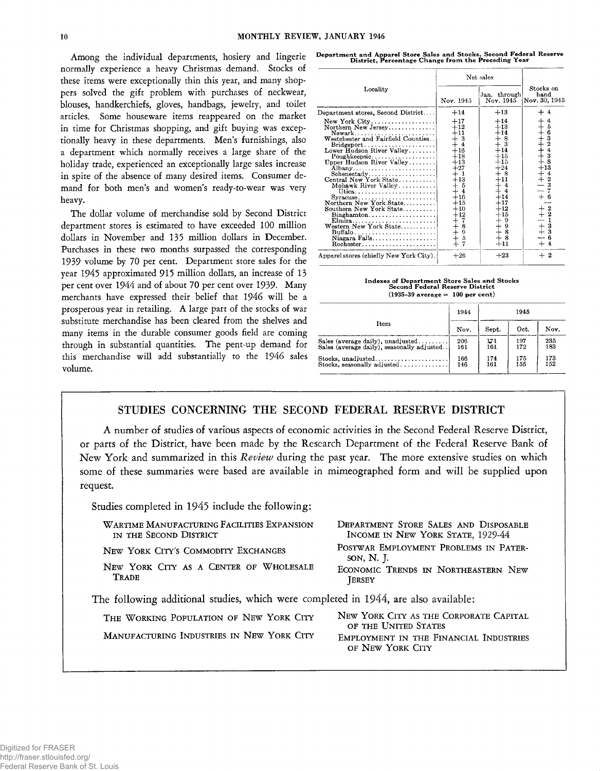Among the individual departments, hosiery and lingerie normally experience a heavy Christmas demand. Stocks of these items were exceptionally thin this year, and many shoppers solved the gift problem with purchases of neckwear, blouses, handkerchiefs, gloves, handbags, jewelry, and toilet articles. Some houseware items reappeared on the market in time for Christmas shopping, and gift buying was exceptionally heavy in these departments. Men's furnishings, also a department which normally receives a large share of the holiday trade, experienced an exceptionally large sales increase in spite of the absence of many desired items. Consumer demand for both men's and women's ready-to-wear was very heavy.

The dollar volume of merchandise sold by Second District department stores is estimated to have exceeded 100 million dollars in November and 135 million dollars in December. Purchases in these two months surpassed the corresponding 1939 volume by 70 per cent. Department store sales for the year 1945 approximated 915 million dollars, an increase of 13 per cent over 1944 and of about 70 per cent over 1939. Many merchants have expressed their belief that 1946 will be a prosperous year in retailing. A large part of the stocks of war substitute merchandise has been cleared from the shelves and many items in the durable consumer goods field are coming through in substantial quantities. The pent-up demand for this merchandise will add substantially to the 1946 sales volume.

**Department and Apparel Store Sales and Stocks, Second Federal Reserve District, Percentage Change from the Preceding Year**

|                                                                                                                                                                                                                                                                                                                                                                                                                                                                                                                | Net sales                                                                                                                                                                                                                               |                                                                                                                                                                            |                                                                                                                                                             |
|----------------------------------------------------------------------------------------------------------------------------------------------------------------------------------------------------------------------------------------------------------------------------------------------------------------------------------------------------------------------------------------------------------------------------------------------------------------------------------------------------------------|-----------------------------------------------------------------------------------------------------------------------------------------------------------------------------------------------------------------------------------------|----------------------------------------------------------------------------------------------------------------------------------------------------------------------------|-------------------------------------------------------------------------------------------------------------------------------------------------------------|
| Locality                                                                                                                                                                                                                                                                                                                                                                                                                                                                                                       | Nov. 1945                                                                                                                                                                                                                               | Jan. through<br>Nov. 1945                                                                                                                                                  | Stocks on<br>hand<br>Nov. 30, 1945                                                                                                                          |
| Department stores, Second District                                                                                                                                                                                                                                                                                                                                                                                                                                                                             | $+14$                                                                                                                                                                                                                                   | $+13$                                                                                                                                                                      | + 4                                                                                                                                                         |
| $New York City \ldots \ldots \ldots \ldots \ldots$<br>Northern New Jersey<br>$Bridgeport \ldots \ldots \ldots \ldots$<br>Lower Hudson River Valley<br>Poughkeepsie<br>Upper Hudson River Valley<br>Schenectady<br>Central New York State<br>Mohawk River Valley<br>Northern New York State<br>Southern New York State<br>$\texttt{Binghamton} \dots \dots \dots \dots \dots \dots \dots$<br>Elmira<br>Western New York State<br>Niagara Falls<br>$Rochester. \ldots \ldots \ldots \ldots \ldots \ldots \ldots$ | $+17$<br>$+12$<br>$+11$<br>$+3$<br>$\overline{4}$<br>$+16$<br>$+18$<br>$+13$<br>$+27$<br>- 1<br>$^{+13}$<br>┿<br>- 5<br>4-<br>$\overline{4}$<br>$+16$<br>$+15$<br>$+10$<br>$+12$<br>$+7$<br>$+4$<br>$+6$<br>$+5$<br>$+7$<br>8<br>9<br>5 | $+14$<br>$+13$<br>$+14 \atop + 8 \atop + 3$<br>$+14$<br>$+15$<br>$+15$<br>$+24$<br>$+8$<br>$+11$<br>$\overline{4}$<br>$+14$<br>$+17$<br>$+12$<br>$+15$<br>$+ + +$<br>$+11$ | +++++++++<br>$\frac{4}{5}$<br>63243<br>8<br>$+13$<br>$\frac{+}{-}$<br>$\frac{4}{2}$<br>3<br>$+$ 6<br>$+ + -$<br>$+ +$<br>$\frac{2}{2}$<br>$\bar{3}$<br>$+4$ |
| Apparel stores (chiefly New York City).                                                                                                                                                                                                                                                                                                                                                                                                                                                                        | $+26$                                                                                                                                                                                                                                   | $+23$                                                                                                                                                                      | $+2$                                                                                                                                                        |

**Indexes of Department Store Sales and Stocks Second Federal Reserve District (1935-39 average = 100 per cent)**

|                                             | 1944 | 1945  |      |      |
|---------------------------------------------|------|-------|------|------|
| Item                                        | Nov. | Sept. | Oct. | Nov. |
| Sales (average daily), unadjusted           | 206  | 171   | 197  | 235  |
| Sales (average daily), seasonally adjusted. | 161  | 161   | 172  | 183  |
| Stocks. unadjusted                          | 166  | 174   | 175  | 173  |
| Stocks, seasonally adjusted                 | 146  | 161   | 155  | 152  |

# **STUDIES CONCERNING THE SECOND FEDERAL RESERVE DISTRICT**

**A number of studies of various aspects of economic activities in the Second Federal Reserve District, or parts of the District, have been made by the Research Department of the Federal Reserve Bank of New York and summarized in this** *Review* **during the past year. The more extensive studies on which some of these summaries were based are available in mimeographed form and will be supplied upon request.**

**Studies completed in 1945 include the following:**

| WARTIME MANUFACTURING FACILITIES EXPANSION<br>IN THE SECOND DISTRICT                | DEPARTMENT STORE SALES AND DISPOSABLE<br>INCOME IN NEW YORK STATE, 1929-44 |  |
|-------------------------------------------------------------------------------------|----------------------------------------------------------------------------|--|
| NEW YORK CITY'S COMMODITY EXCHANGES                                                 | POSTWAR EMPLOYMENT PROBLEMS IN PATER-<br>SON, N. J.                        |  |
| NEW YORK CITY AS A CENTER OF WHOLESALE<br>TRADE                                     | ECONOMIC TRENDS IN NORTHEASTERN NEW<br><b>JERSEY</b>                       |  |
| The following additional studies, which were completed in 1944, are also available: |                                                                            |  |
| THE WORKING POPULATION OF NEW YORK CITY                                             | NEW YORK CITY AS THE CORPORATE CAPITAL<br>OF THE UNITED STATES             |  |
| MANUFACTURING INDUSTRIES IN NEW YORK CITY                                           | EMPLOYMENT IN THE FINANCIAL INDUSTRIES<br>OF NEW YORK CITY                 |  |